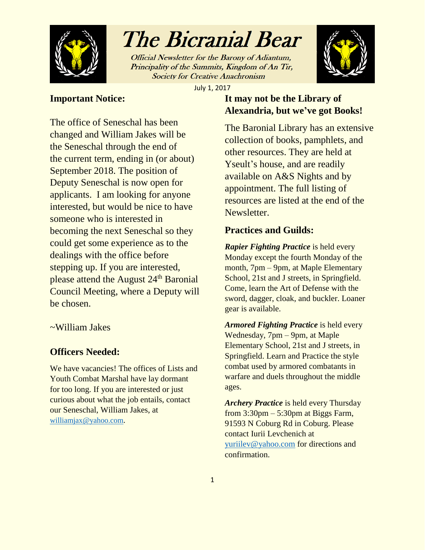

Official Newsletter for the Barony of Adiantum, Principality of the Summits, Kingdom of An Tir, **Society for Creative Anachronism** 



July 1, 2017

### **Important Notice:**

The office of Seneschal has been changed and William Jakes will be the Seneschal through the end of the current term, ending in (or about) September 2018. The position of Deputy Seneschal is now open for applicants. I am looking for anyone interested, but would be nice to have someone who is interested in becoming the next Seneschal so they could get some experience as to the dealings with the office before stepping up. If you are interested, please attend the August 24<sup>th</sup> Baronial Council Meeting, where a Deputy will be chosen.

### ~William Jakes

### **Officers Needed:**

We have vacancies! The offices of Lists and Youth Combat Marshal have lay dormant for too long. If you are interested or just curious about what the job entails, contact our Seneschal, William Jakes, at [williamjax@yahoo.com](mailto:williamjax@yahoo.com).

### **It may not be the Library of Alexandria, but we've got Books!**

The Baronial Library has an extensive collection of books, pamphlets, and other resources. They are held at Yseult's house, and are readily available on A&S Nights and by appointment. The full listing of resources are listed at the end of the Newsletter.

### **Practices and Guilds:**

*Rapier Fighting Practice* is held every Monday except the fourth Monday of the month, 7pm – 9pm, at Maple Elementary School, 21st and J streets, in Springfield. Come, learn the Art of Defense with the sword, dagger, cloak, and buckler. Loaner gear is available.

*Armored Fighting Practice* is held every Wednesday, 7pm – 9pm, at Maple Elementary School, 21st and J streets, in Springfield. Learn and Practice the style combat used by armored combatants in warfare and duels throughout the middle ages.

*Archery Practice* is held every Thursday from  $3:30 \text{pm} - 5:30 \text{pm}$  at Biggs Farm, 91593 N Coburg Rd in Coburg. Please contact Iurii Levchenich at [yuriilev@yahoo.com](mailto:yuriilev@yahoo.com) for directions and confirmation.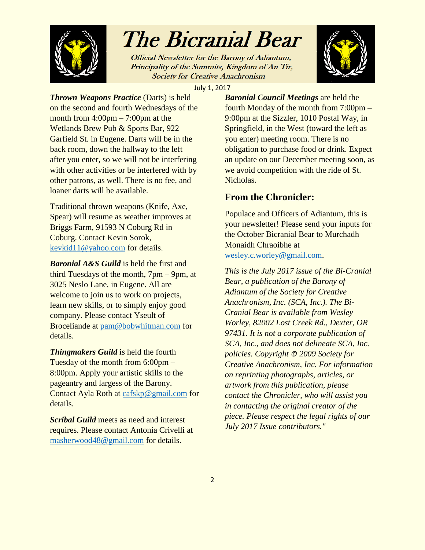

Official Newsletter for the Barony of Adiantum, Principality of the Summits, Kingdom of An Tir, **Society for Creative Anachronism** 



July 1, 2017

*Thrown Weapons Practice* (Darts) is held on the second and fourth Wednesdays of the month from  $4:00 \text{pm} - 7:00 \text{pm}$  at the Wetlands Brew Pub & Sports Bar, 922 Garfield St. in Eugene. Darts will be in the back room, down the hallway to the left after you enter, so we will not be interfering with other activities or be interfered with by other patrons, as well. There is no fee, and loaner darts will be available.

Traditional thrown weapons (Knife, Axe, Spear) will resume as weather improves at Briggs Farm, 91593 N Coburg Rd in Coburg. Contact Kevin Sorok, [kevkid11@yahoo.com](mailto:kevkid11@yahoo.com) for details.

*Baronial A&S Guild* is held the first and third Tuesdays of the month, 7pm – 9pm, at 3025 Neslo Lane, in Eugene. All are welcome to join us to work on projects, learn new skills, or to simply enjoy good company. Please contact Yseult of Broceliande at [pam@bobwhitman.com](mailto:pam@bobwhitman.com) for details.

*Thingmakers Guild* is held the fourth Tuesday of the month from 6:00pm – 8:00pm. Apply your artistic skills to the pageantry and largess of the Barony. Contact Ayla Roth at [cafskp@gmail.com](mailto:cafskp@gmail.com) for details.

*Scribal Guild* meets as need and interest requires. Please contact Antonia Crivelli at [masherwood48@gmail.com](mailto:masherwood48@gmail.com) for details.

*Baronial Council Meetings* are held the fourth Monday of the month from 7:00pm – 9:00pm at the Sizzler, 1010 Postal Way, in Springfield, in the West (toward the left as you enter) meeting room. There is no obligation to purchase food or drink. Expect an update on our December meeting soon, as we avoid competition with the ride of St. Nicholas.

### **From the Chronicler:**

Populace and Officers of Adiantum, this is your newsletter! Please send your inputs for the October Bicranial Bear to Murchadh Monaidh Chraoibhe at [wesley.c.worley@gmail.com.](mailto:wesley.c.worley@gmail.com)

*This is the July 2017 issue of the Bi-Cranial Bear, a publication of the Barony of Adiantum of the Society for Creative Anachronism, Inc. (SCA, Inc.). The Bi-Cranial Bear is available from Wesley Worley, 82002 Lost Creek Rd., Dexter, OR 97431. It is not a corporate publication of SCA, Inc., and does not delineate SCA, Inc. policies. Copyright © 2009 Society for Creative Anachronism, Inc. For information on reprinting photographs, articles, or artwork from this publication, please contact the Chronicler, who will assist you in contacting the original creator of the piece. Please respect the legal rights of our July 2017 Issue contributors."*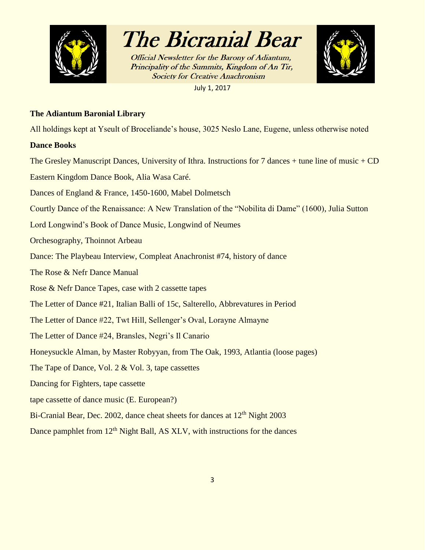

**Official Newsletter for the Barony of Adiantum,** Principality of the Summits, Kingdom of An Tir, **Society for Creative Anachronism** 

July 1, 2017



#### **The Adiantum Baronial Library**

All holdings kept at Yseult of Broceliande's house, 3025 Neslo Lane, Eugene, unless otherwise noted

#### **Dance Books**

The Gresley Manuscript Dances, University of Ithra. Instructions for 7 dances  $+$  tune line of music  $+$  CD

Eastern Kingdom Dance Book, Alia Wasa Caré.

Dances of England & France, 1450-1600, Mabel Dolmetsch

Courtly Dance of the Renaissance: A New Translation of the "Nobilita di Dame" (1600), Julia Sutton

Lord Longwind's Book of Dance Music, Longwind of Neumes

Orchesography, Thoinnot Arbeau

Dance: The Playbeau Interview, Compleat Anachronist #74, history of dance

The Rose & Nefr Dance Manual

Rose & Nefr Dance Tapes, case with 2 cassette tapes

The Letter of Dance #21, Italian Balli of 15c, Salterello, Abbrevatures in Period

The Letter of Dance #22, Twt Hill, Sellenger's Oval, Lorayne Almayne

The Letter of Dance #24, Bransles, Negri's Il Canario

Honeysuckle Alman, by Master Robyyan, from The Oak, 1993, Atlantia (loose pages)

The Tape of Dance, Vol. 2 & Vol. 3, tape cassettes

Dancing for Fighters, tape cassette

tape cassette of dance music (E. European?)

Bi-Cranial Bear, Dec. 2002, dance cheat sheets for dances at 12<sup>th</sup> Night 2003

Dance pamphlet from  $12<sup>th</sup>$  Night Ball, AS XLV, with instructions for the dances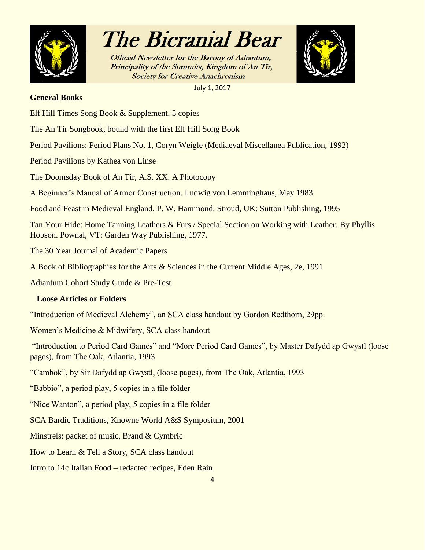

**Official Newsletter for the Barony of Adiantum,** Principality of the Summits, Kingdom of An Tir, **Society for Creative Anachronism** 

July 1, 2017

#### **General Books**

- Elf Hill Times Song Book & Supplement, 5 copies
- The An Tir Songbook, bound with the first Elf Hill Song Book

Period Pavilions: Period Plans No. 1, Coryn Weigle (Mediaeval Miscellanea Publication, 1992)

Period Pavilions by Kathea von Linse

The Doomsday Book of An Tir, A.S. XX. A Photocopy

A Beginner's Manual of Armor Construction. Ludwig von Lemminghaus, May 1983

Food and Feast in Medieval England, P. W. Hammond. Stroud, UK: Sutton Publishing, 1995

Tan Your Hide: Home Tanning Leathers & Furs / Special Section on Working with Leather. By Phyllis Hobson. Pownal, VT: Garden Way Publishing, 1977.

The 30 Year Journal of Academic Papers

A Book of Bibliographies for the Arts & Sciences in the Current Middle Ages, 2e, 1991

Adiantum Cohort Study Guide & Pre-Test

### **Loose Articles or Folders**

"Introduction of Medieval Alchemy", an SCA class handout by Gordon Redthorn, 29pp.

Women's Medicine & Midwifery, SCA class handout

"Introduction to Period Card Games" and "More Period Card Games", by Master Dafydd ap Gwystl (loose pages), from The Oak, Atlantia, 1993

"Cambok", by Sir Dafydd ap Gwystl, (loose pages), from The Oak, Atlantia, 1993

"Babbio", a period play, 5 copies in a file folder

"Nice Wanton", a period play, 5 copies in a file folder

SCA Bardic Traditions, Knowne World A&S Symposium, 2001

Minstrels: packet of music, Brand & Cymbric

How to Learn & Tell a Story, SCA class handout

Intro to 14c Italian Food – redacted recipes, Eden Rain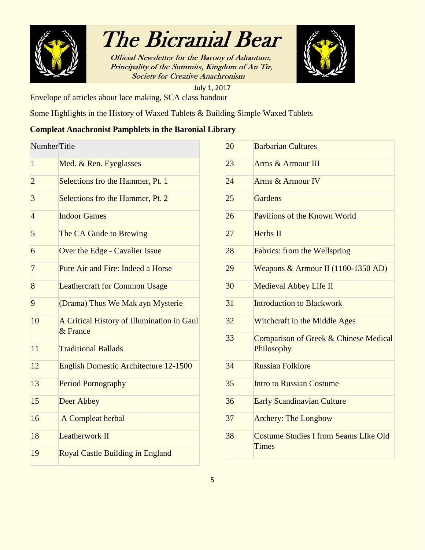

Official Newsletter for the Barony of Adiantum, Principality of the Summits, Kingdom of An Tir, **Society for Creative Anachronism** 



July 1, 2017 Envelope of articles about lace making, SCA class handout

Some Highlights in the History of Waxed Tablets & Building Simple Waxed Tablets

### **Compleat Anachronist Pamphlets in the Baronial Library**

| NumberTitle    |                                                        |
|----------------|--------------------------------------------------------|
| $\mathbf{1}$   | Med. & Ren. Eyeglasses                                 |
| $\overline{c}$ | Selections fro the Hammer, Pt. 1                       |
| 3              | Selections fro the Hammer, Pt. 2                       |
| $\overline{4}$ | <b>Indoor Games</b>                                    |
| 5              | The CA Guide to Brewing                                |
| 6              | Over the Edge - Cavalier Issue                         |
| $\overline{7}$ | Pure Air and Fire: Indeed a Horse                      |
| 8              | <b>Leathercraft for Common Usage</b>                   |
| 9              | (Drama) Thus We Mak ayn Mysterie                       |
| 10             | A Critical History of Illumination in Gaul<br>& France |
| 11             | <b>Traditional Ballads</b>                             |
| 12             | <b>English Domestic Architecture 12-1500</b>           |
| 13             | <b>Period Pornography</b>                              |
| 15             | Deer Abbey                                             |
| 16             | A Compleat herbal                                      |
| 18             | <b>Leatherwork II</b>                                  |
| 19             | <b>Royal Castle Building in England</b>                |

| 20 | <b>Barbarian Cultures</b>                             |
|----|-------------------------------------------------------|
| 23 | Arms & Armour III                                     |
| 24 | Arms & Armour IV                                      |
| 25 | Gardens                                               |
| 26 | Pavilions of the Known World                          |
| 27 | <b>Herbs II</b>                                       |
| 28 | <b>Fabrics: from the Wellspring</b>                   |
| 29 | Weapons & Armour II (1100-1350 AD)                    |
| 30 | <b>Medieval Abbey Life II</b>                         |
| 31 | <b>Introduction to Blackwork</b>                      |
| 32 | <b>Witchcraft in the Middle Ages</b>                  |
| 33 | Comparison of Greek & Chinese Medical<br>Philosophy   |
| 34 | <b>Russian Folklore</b>                               |
| 35 | <b>Intro to Russian Costume</b>                       |
| 36 | <b>Early Scandinavian Culture</b>                     |
| 37 | <b>Archery: The Longbow</b>                           |
| 38 | <b>Costume Studies I from Seams LIke Old</b><br>Times |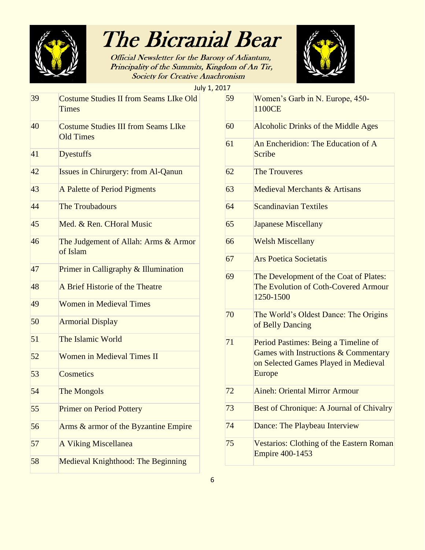

Official Newsletter for the Barony of Adiantum, Principality of the Summits, Kingdom of An Tir, **Society for Creative Anachronism** 



July 1, 2017

| 39 | <b>Costume Studies II from Seams LIke Old</b><br><b>Times</b>  |
|----|----------------------------------------------------------------|
| 40 | <b>Costume Studies III from Seams LIke</b><br><b>Old Times</b> |
| 41 | <b>Dyestuffs</b>                                               |
| 42 | <b>Issues in Chirurgery: from Al-Qanun</b>                     |
| 43 | A Palette of Period Pigments                                   |
| 44 | <b>The Troubadours</b>                                         |
| 45 | Med. & Ren. CHoral Music                                       |
| 46 | The Judgement of Allah: Arms & Armor<br>of Islam               |
| 47 | Primer in Calligraphy & Illumination                           |
| 48 | A Brief Historie of the Theatre                                |
| 49 | <b>Women in Medieval Times</b>                                 |
| 50 | <b>Armorial Display</b>                                        |
| 51 | The Islamic World                                              |
| 52 | <b>Women in Medieval Times II</b>                              |
| 53 | Cosmetics                                                      |
| 54 | <b>The Mongols</b>                                             |
| 55 | <b>Primer on Period Pottery</b>                                |
| 56 | Arms & armor of the Byzantine Empire                           |
| 57 | <b>A Viking Miscellanea</b>                                    |
| 58 | <b>Medieval Knighthood: The Beginning</b>                      |

| 17 |                                                                                                                                |
|----|--------------------------------------------------------------------------------------------------------------------------------|
| 59 | Women's Garb in N. Europe, 450-<br>1100CE                                                                                      |
| 60 | <b>Alcoholic Drinks of the Middle Ages</b>                                                                                     |
| 61 | An Encheridion: The Education of A<br>Scribe                                                                                   |
| 62 | <b>The Trouveres</b>                                                                                                           |
| 63 | <b>Medieval Merchants &amp; Artisans</b>                                                                                       |
| 64 | <b>Scandinavian Textiles</b>                                                                                                   |
| 65 | <b>Japanese Miscellany</b>                                                                                                     |
| 66 | <b>Welsh Miscellany</b>                                                                                                        |
| 67 | <b>Ars Poetica Societatis</b>                                                                                                  |
| 69 | The Development of the Coat of Plates:<br>The Evolution of Coth-Covered Armour<br>1250-1500                                    |
| 70 | The World's Oldest Dance: The Origins<br>of Belly Dancing                                                                      |
| 71 | Period Pastimes: Being a Timeline of<br>Games with Instructions & Commentary<br>on Selected Games Played in Medieval<br>Europe |
| 72 | <b>Aineh: Oriental Mirror Armour</b>                                                                                           |
| 73 | <b>Best of Chronique: A Journal of Chivalry</b>                                                                                |
| 74 | Dance: The Playbeau Interview                                                                                                  |
| 75 | <b>Vestarios: Clothing of the Eastern Roman</b><br><b>Empire 400-1453</b>                                                      |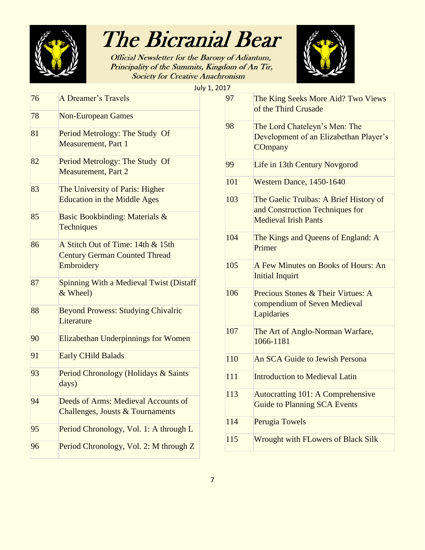

**Official Newsletter for the Barony of Adiantum,** Principality of the Summits, Kingdom of An Tir, **Society for Creative Anachronism** 



76 A Dreamer's Travels 78 Non-European Games 81 Period Metrology: The Study Of Measurement, Part 1 82 Period Metrology: The Study Of Measurement, Part 2 83 The University of Paris: Higher Education in the Middle Ages 85 Basic Bookbinding: Materials & **Techniques** 86 A Stitch Out of Time: 14th & 15th Century German Counted Thread **Embroidery** 87 Spinning With a Medieval Twist (Distaff & Wheel) 88 Beyond Prowess: Studying Chivalric **Literature** 90 Elizabethan Underpinnings for Women 91 Early CHild Balads 93 Period Chronology (Holidays & Saints days) 94 Deeds of Arms: Medieval Accounts of Challenges, Jousts & Tournaments 95 Period Chronology, Vol. 1: A through L 96 Period Chronology, Vol. 2: M through Z

| July 1, 2017 |     |                                                                                                          |
|--------------|-----|----------------------------------------------------------------------------------------------------------|
|              | 97  | The King Seeks More Aid? Two Views<br>of the Third Crusade                                               |
|              | 98  | The Lord Chateleyn's Men: The<br>Development of an Elizabethan Player's<br>COmpany                       |
|              | 99  | Life in 13th Century Novgorod                                                                            |
|              | 101 | Western Dance, 1450-1640                                                                                 |
|              | 103 | The Gaelic Truibas: A Brief History of<br>and Construction Techniques for<br><b>Medieval Irish Pants</b> |
|              | 104 | The Kings and Queens of England: A<br>Primer                                                             |
| Ŧ            | 105 | A Few Minutes on Books of Hours: An<br><b>Initial Inquirt</b>                                            |
|              | 106 | Precious Stones & Their Virtues: A<br>compendium of Seven Medieval<br>Lapidaries                         |
|              | 107 | The Art of Anglo-Norman Warfare,<br>1066-1181                                                            |
|              | 110 | An SCA Guide to Jewish Persona                                                                           |
|              | 111 | <b>Introduction to Medieval Latin</b>                                                                    |
|              | 113 | <b>Autocratting 101: A Comprehensive</b><br><b>Guide to Planning SCA Events</b>                          |
|              | 114 | Perugia Towels                                                                                           |
| 7            | 115 | <b>Wrought with FLowers of Black Silk</b>                                                                |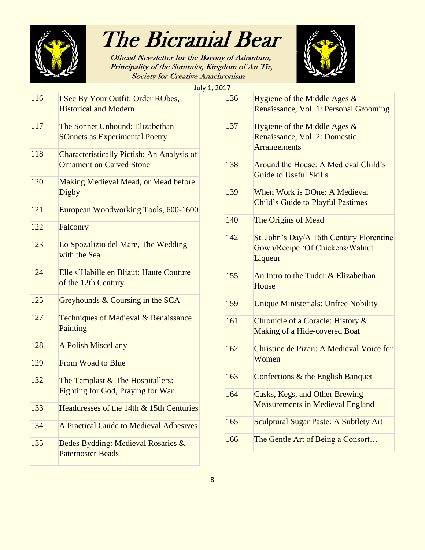

Official Newsletter for the Barony of Adiantum, Principality of the Summits, Kingdom of An Tir, **Society for Creative Anachronism** 



July 1, 20

| 116 | I See By Your Outfit: Order RObes,<br><b>Historical and Modern</b>                   |
|-----|--------------------------------------------------------------------------------------|
| 117 | The Sonnet Unbound: Elizabethan<br><b>SOnnets as Experimental Poetry</b>             |
| 118 | <b>Characteristically Pictish: An Analysis of</b><br><b>Ornament on Carved Stone</b> |
| 120 | <b>Making Medieval Mead, or Mead before</b><br>Digby                                 |
| 121 | European Woodworking Tools, 600-1600                                                 |
| 122 | Falconry                                                                             |
| 123 | Lo Spozalizio del Mare, The Wedding<br>with the Sea                                  |
| 124 | Elle s'Habille en Bliaut: Haute Couture<br>of the 12th Century                       |
| 125 | Greyhounds & Coursing in the SCA                                                     |
| 127 | Techniques of Medieval & Renaissance<br>Painting                                     |
| 128 | <b>A Polish Miscellany</b>                                                           |
| 129 | <b>From Woad to Blue</b>                                                             |
| 132 | The Templast & The Hospitallers:<br><b>Fighting for God, Praying for War</b>         |
| 133 | Headdresses of the 14th & 15th Centuries                                             |
| 134 | A Practical Guide to Medieval Adhesives                                              |
| 135 | Bedes Bydding: Medieval Rosaries &<br><b>Paternoster Beads</b>                       |

| 17  |                                                                                        |
|-----|----------------------------------------------------------------------------------------|
| 136 | Hygiene of the Middle Ages $&$<br>Renaissance, Vol. 1: Personal Grooming               |
| 137 | Hygiene of the Middle Ages $&$<br>Renaissance, Vol. 2: Domestic<br><b>Arrangements</b> |
| 138 | Around the House: A Medieval Child's<br><b>Guide to Useful Skills</b>                  |
| 139 | When Work is DOne: A Medieval<br>Child's Guide to Playful Pastimes                     |
| 140 | The Origins of Mead                                                                    |
| 142 | St. John's Day/A 16th Century Florentine<br>Gown/Recipe 'Of Chickens/Walnut<br>Liqueur |
| 155 | An Intro to the Tudor & Elizabethan<br>House                                           |
| 159 | <b>Unique Ministerials: Unfree Nobility</b>                                            |
| 161 | Chronicle of a Coracle: History &<br>Making of a Hide-covered Boat                     |
| 162 | Christine de Pizan: A Medieval Voice for<br>Women                                      |
| 163 | Confections & the English Banquet                                                      |
| 164 | <b>Casks, Kegs, and Other Brewing</b><br><b>Measurements in Medieval England</b>       |
| 165 | <b>Sculptural Sugar Paste: A Subtlety Art</b>                                          |
| 166 | The Gentle Art of Being a Consort                                                      |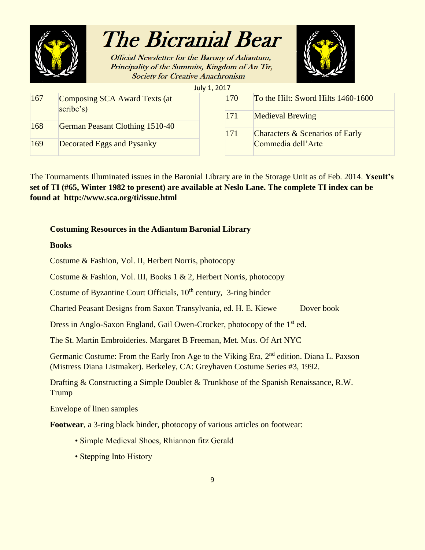

**Official Newsletter for the Barony of Adiantum,** Principality of the Summits, Kingdom of An Tir, **Society for Creative Anachronism** 



July 1, 2017

| 167 | Composing SCA Award Texts (at<br>scribe's) | 170        | To the Hilt: Sword Hilts 1460-1600 |
|-----|--------------------------------------------|------------|------------------------------------|
|     |                                            | <b>171</b> | <b>Medieval Brewing</b>            |
| 168 | German Peasant Clothing 1510-40            | 171        | Characters & Scenarios of Early    |
| 169 | Decorated Eggs and Pysanky                 |            | Commedia dell'Arte                 |

The Tournaments Illuminated issues in the Baronial Library are in the Storage Unit as of Feb. 2014. **Yseult's set of TI (#65, Winter 1982 to present) are available at Neslo Lane. The complete TI index can be found at http://www.sca.org/ti/issue.html**

#### **Costuming Resources in the Adiantum Baronial Library**

**Books**

Costume & Fashion, Vol. II, Herbert Norris, photocopy

Costume & Fashion, Vol. III, Books 1 & 2, Herbert Norris, photocopy

Costume of Byzantine Court Officials,  $10<sup>th</sup>$  century, 3-ring binder

Charted Peasant Designs from Saxon Transylvania, ed. H. E. Kiewe Dover book

Dress in Anglo-Saxon England, Gail Owen-Crocker, photocopy of the 1<sup>st</sup> ed.

The St. Martin Embroideries. Margaret B Freeman, Met. Mus. Of Art NYC

Germanic Costume: From the Early Iron Age to the Viking Era, 2<sup>nd</sup> edition. Diana L. Paxson (Mistress Diana Listmaker). Berkeley, CA: Greyhaven Costume Series #3, 1992.

Drafting & Constructing a Simple Doublet & Trunkhose of the Spanish Renaissance, R.W. Trump

Envelope of linen samples

**Footwear**, a 3-ring black binder, photocopy of various articles on footwear:

- Simple Medieval Shoes, Rhiannon fitz Gerald
- Stepping Into History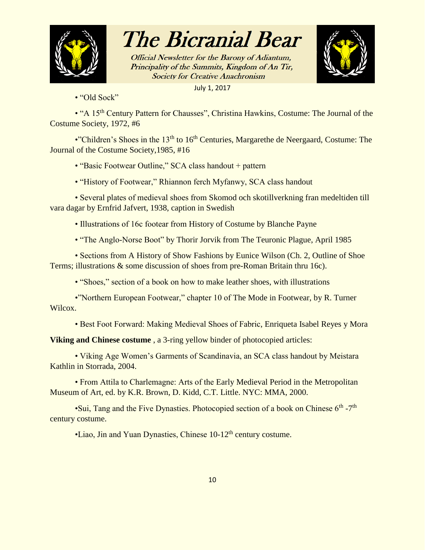

Official Newsletter for the Barony of Adiantum, Principality of the Summits, Kingdom of An Tir, **Society for Creative Anachronism** 



July 1, 2017

• "Old Sock"

• "A 15<sup>th</sup> Century Pattern for Chausses", Christina Hawkins, Costume: The Journal of the Costume Society, 1972, #6

•"Children's Shoes in the 13<sup>th</sup> to 16<sup>th</sup> Centuries, Margarethe de Neergaard, Costume: The Journal of the Costume Society,1985, #16

• "Basic Footwear Outline," SCA class handout + pattern

• "History of Footwear," Rhiannon ferch Myfanwy, SCA class handout

• Several plates of medieval shoes from Skomod och skotillverkning fran medeltiden till vara dagar by Ernfrid Jafvert, 1938, caption in Swedish

• Illustrations of 16c footear from History of Costume by Blanche Payne

• "The Anglo-Norse Boot" by Thorir Jorvik from The Teuronic Plague, April 1985

• Sections from A History of Show Fashions by Eunice Wilson (Ch. 2, Outline of Shoe Terms; illustrations & some discussion of shoes from pre-Roman Britain thru 16c).

• "Shoes," section of a book on how to make leather shoes, with illustrations

•"Northern European Footwear," chapter 10 of The Mode in Footwear, by R. Turner Wilcox.

• Best Foot Forward: Making Medieval Shoes of Fabric, Enriqueta Isabel Reyes y Mora

**Viking and Chinese costume**, a 3-ring yellow binder of photocopied articles:

• Viking Age Women's Garments of Scandinavia, an SCA class handout by Meistara Kathlin in Storrada, 2004.

• From Attila to Charlemagne: Arts of the Early Medieval Period in the Metropolitan Museum of Art, ed. by K.R. Brown, D. Kidd, C.T. Little. NYC: MMA, 2000.

•Sui, Tang and the Five Dynasties. Photocopied section of a book on Chinese  $6<sup>th</sup> - 7<sup>th</sup>$ century costume.

•Liao, Jin and Yuan Dynasties, Chinese 10-12<sup>th</sup> century costume.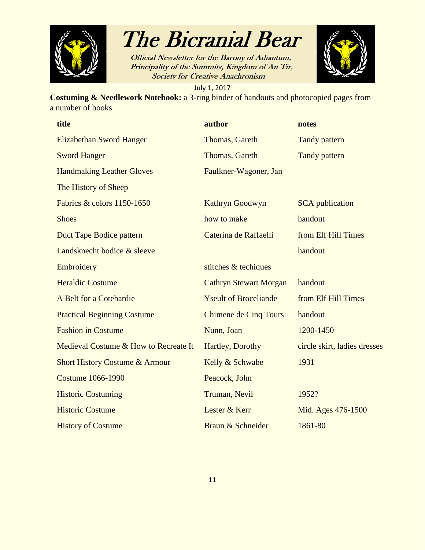

Official Newsletter for the Barony of Adiantum, Principality of the Summits, Kingdom of An Tir, **Society for Creative Anachronism** 



July 1, 2017

**Costuming & Needlework Notebook:** a 3-ring binder of handouts and photocopied pages from a number of books

| title                                     | author                        | notes                        |
|-------------------------------------------|-------------------------------|------------------------------|
| <b>Elizabethan Sword Hanger</b>           | Thomas, Gareth                | <b>Tandy pattern</b>         |
| <b>Sword Hanger</b>                       | Thomas, Gareth                | <b>Tandy pattern</b>         |
| <b>Handmaking Leather Gloves</b>          | Faulkner-Wagoner, Jan         |                              |
| The History of Sheep                      |                               |                              |
| Fabrics & colors 1150-1650                | Kathryn Goodwyn               | <b>SCA</b> publication       |
| <b>Shoes</b>                              | how to make                   | handout                      |
| Duct Tape Bodice pattern                  | Caterina de Raffaelli         | from Elf Hill Times          |
| Landsknecht bodice & sleeve               |                               | handout                      |
| Embroidery                                | stitches & techiques          |                              |
| <b>Heraldic Costume</b>                   | <b>Cathryn Stewart Morgan</b> | handout                      |
| A Belt for a Cotehardie                   | <b>Yseult of Broceliande</b>  | from Elf Hill Times          |
| <b>Practical Beginning Costume</b>        | <b>Chimene de Cinq Tours</b>  | handout                      |
| <b>Fashion in Costume</b>                 | Nunn, Joan                    | 1200-1450                    |
| Medieval Costume & How to Recreate It     | Hartley, Dorothy              | circle skirt, ladies dresses |
| <b>Short History Costume &amp; Armour</b> | Kelly & Schwabe               | 1931                         |
| <b>Costume 1066-1990</b>                  | Peacock, John                 |                              |
| <b>Historic Costuming</b>                 | Truman, Nevil                 | 1952?                        |
| <b>Historic Costume</b>                   | Lester & Kerr                 | Mid. Ages 476-1500           |
| <b>History of Costume</b>                 | Braun & Schneider             | 1861-80                      |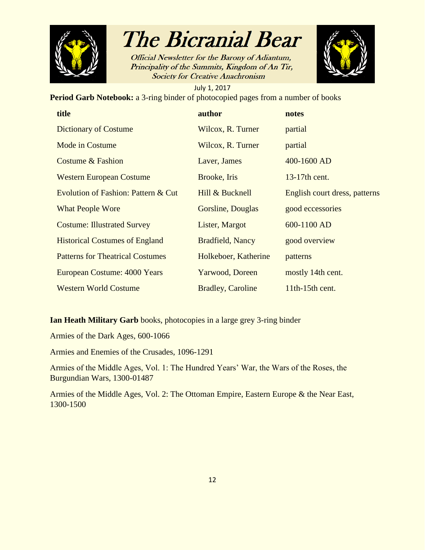

**Official Newsletter for the Barony of Adiantum,** Principality of the Summits, Kingdom of An Tir, **Society for Creative Anachronism** 



July 1, 2017 **Period Garb Notebook:** a 3-ring binder of photocopied pages from a number of books

| title                                   | author                   | notes                         |
|-----------------------------------------|--------------------------|-------------------------------|
| <b>Dictionary of Costume</b>            | Wilcox, R. Turner        | partial                       |
| Mode in Costume                         | Wilcox, R. Turner        | partial                       |
| <b>Costume &amp; Fashion</b>            | Laver, James             | 400-1600 AD                   |
| <b>Western European Costume</b>         | Brooke, Iris             | 13-17th cent.                 |
| Evolution of Fashion: Pattern & Cut     | Hill & Bucknell          | English court dress, patterns |
| <b>What People Wore</b>                 | Gorsline, Douglas        | good eccessories              |
| <b>Costume: Illustrated Survey</b>      | Lister, Margot           | 600-1100 AD                   |
| <b>Historical Costumes of England</b>   | Bradfield, Nancy         | good overview                 |
| <b>Patterns for Theatrical Costumes</b> | Holkeboer, Katherine     | patterns                      |
| European Costume: 4000 Years            | Yarwood, Doreen          | mostly 14th cent.             |
| <b>Western World Costume</b>            | <b>Bradley, Caroline</b> | $11th-15th$ cent.             |

**Ian Heath Military Garb** books, photocopies in a large grey 3-ring binder

Armies of the Dark Ages, 600-1066

Armies and Enemies of the Crusades, 1096-1291

Armies of the Middle Ages, Vol. 1: The Hundred Years' War, the Wars of the Roses, the Burgundian Wars, 1300-01487

Armies of the Middle Ages, Vol. 2: The Ottoman Empire, Eastern Europe & the Near East, 1300-1500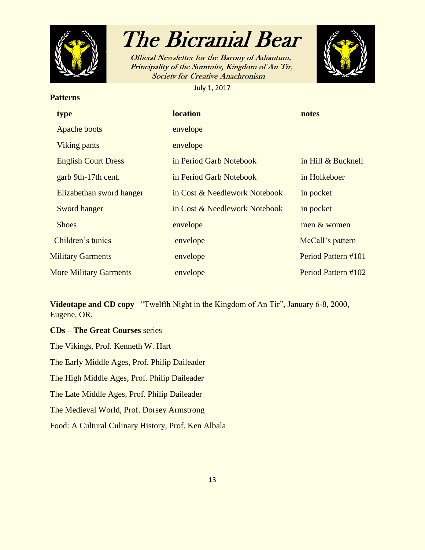

**Patterns**

### The Bicranial Bear

Official Newsletter for the Barony of Adiantum, Principality of the Summits, Kingdom of An Tir, **Society for Creative Anachronism** 

July 1, 2017



### **type location notes** Apache boots envelope Viking pants envelope English Court Dress in Period Garb Notebook in Hill & Bucknell garb 9th-17th cent. in Period Garb Notebook in Holkeboer Elizabethan sword hanger in Cost & Needlework Notebook in pocket Sword hanger in Cost & Needlework Notebook in pocket Shoes envelope men & women **Children's tunics** envelope McCall's pattern Military Garments envelope Period Pattern #101 More Military Garments envelope Period Pattern #102

**Videotape and CD copy**– "Twelfth Night in the Kingdom of An Tir", January 6-8, 2000, Eugene, OR.

**CDs – The Great Courses** series The Vikings, Prof. Kenneth W. Hart The Early Middle Ages, Prof. Philip Daileader The High Middle Ages, Prof. Philip Daileader The Late Middle Ages, Prof. Philip Daileader The Medieval World, Prof. Dorsey Armstrong Food: A Cultural Culinary History, Prof. Ken Albala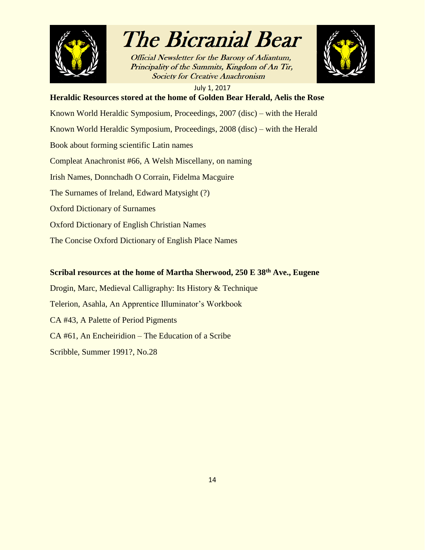

Official Newsletter for the Barony of Adiantum, Principality of the Summits, Kingdom of An Tir, **Society for Creative Anachronism** 



July 1, 2017

### **Heraldic Resources stored at the home of Golden Bear Herald, Aelis the Rose**

Known World Heraldic Symposium, Proceedings, 2007 (disc) – with the Herald

Known World Heraldic Symposium, Proceedings, 2008 (disc) – with the Herald

Book about forming scientific Latin names

Compleat Anachronist #66, A Welsh Miscellany, on naming

Irish Names, Donnchadh O Corrain, Fidelma Macguire

The Surnames of Ireland, Edward Matysight (?)

Oxford Dictionary of Surnames

Oxford Dictionary of English Christian Names

The Concise Oxford Dictionary of English Place Names

#### **Scribal resources at the home of Martha Sherwood, 250 E 38th Ave., Eugene**

Drogin, Marc, Medieval Calligraphy: Its History & Technique Telerion, Asahla, An Apprentice Illuminator's Workbook CA #43, A Palette of Period Pigments CA #61, An Encheiridion – The Education of a Scribe Scribble, Summer 1991?, No.28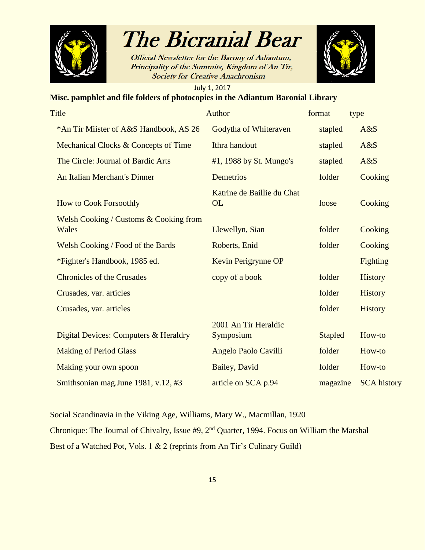

**Official Newsletter for the Barony of Adiantum,** Principality of the Summits, Kingdom of An Tir, **Society for Creative Anachronism** 



July 1, 2017

#### **Misc. pamphlet and file folders of photocopies in the Adiantum Baronial Library**

| Title                                                      | Author                                  | format         | type               |
|------------------------------------------------------------|-----------------------------------------|----------------|--------------------|
| *An Tir Miister of A&S Handbook, AS 26                     | Godytha of Whiteraven                   | stapled        | A&S                |
| Mechanical Clocks & Concepts of Time                       | Ithra handout                           | stapled        | A&S                |
| The Circle: Journal of Bardic Arts                         | #1, 1988 by St. Mungo's                 | stapled        | A&S                |
| <b>An Italian Merchant's Dinner</b>                        | <b>Demetrios</b>                        | folder         | Cooking            |
| <b>How to Cook Forsoothly</b>                              | Katrine de Baillie du Chat<br><b>OL</b> | loose          | Cooking            |
| <b>Welsh Cooking / Customs &amp; Cooking from</b><br>Wales | Llewellyn, Sian                         | folder         | Cooking            |
| <b>Welsh Cooking / Food of the Bards</b>                   | Roberts, Enid                           | folder         | Cooking            |
| *Fighter's Handbook, 1985 ed.                              | Kevin Perigrynne OP                     |                | <b>Fighting</b>    |
| <b>Chronicles of the Crusades</b>                          | copy of a book                          | folder         | <b>History</b>     |
| Crusades, var. articles                                    |                                         | folder         | <b>History</b>     |
| Crusades, var. articles                                    |                                         | folder         | <b>History</b>     |
| Digital Devices: Computers & Heraldry                      | 2001 An Tir Heraldic<br>Symposium       | <b>Stapled</b> | How-to             |
| <b>Making of Period Glass</b>                              | Angelo Paolo Cavilli                    | folder         | How-to             |
| Making your own spoon                                      | <b>Bailey</b> , David                   | folder         | How-to             |
| Smithsonian mag.June 1981, v.12, #3                        | article on SCA p.94                     | magazine       | <b>SCA</b> history |

Social Scandinavia in the Viking Age, Williams, Mary W., Macmillan, 1920 Chronique: The Journal of Chivalry, Issue #9, 2nd Quarter, 1994. Focus on William the Marshal Best of a Watched Pot, Vols. 1 & 2 (reprints from An Tir's Culinary Guild)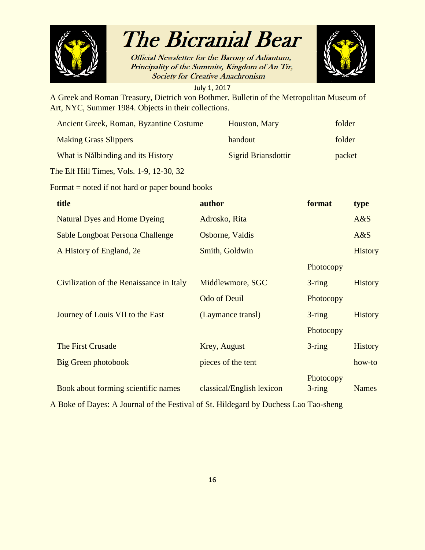

Official Newsletter for the Barony of Adiantum, Principality of the Summits, Kingdom of An Tir, **Society for Creative Anachronism** 



July 1, 2017

A Greek and Roman Treasury, Dietrich von Bothmer. Bulletin of the Metropolitan Museum of Art, NYC, Summer 1984. Objects in their collections.

| Ancient Greek, Roman, Byzantine Costume | Houston, Mary              | folder |
|-----------------------------------------|----------------------------|--------|
| <b>Making Grass Slippers</b>            | handout                    | folder |
| What is Nålbinding and its History      | <b>Sigrid Briansdottir</b> | packet |

The Elf Hill Times, Vols. 1-9, 12-30, 32

Format = noted if not hard or paper bound books

| title                                    | author                    | format                 | type           |
|------------------------------------------|---------------------------|------------------------|----------------|
| <b>Natural Dyes and Home Dyeing</b>      | Adrosko, Rita             |                        | A&S            |
| Sable Longboat Persona Challenge         | Osborne, Valdis           |                        | A&S            |
| A History of England, 2e                 | Smith, Goldwin            |                        | <b>History</b> |
|                                          |                           | Photocopy              |                |
| Civilization of the Renaissance in Italy | Middlewmore, SGC          | $3$ -ring              | <b>History</b> |
|                                          | <b>Odo of Deuil</b>       | Photocopy              |                |
| Journey of Louis VII to the East         | (Laymance transl)         | $3$ -ring              | <b>History</b> |
|                                          |                           | Photocopy              |                |
| The First Crusade                        | Krey, August              | $3$ -ring              | <b>History</b> |
| <b>Big Green photobook</b>               | pieces of the tent        |                        | how-to         |
| Book about forming scientific names      | classical/English lexicon | Photocopy<br>$3$ -ring | <b>Names</b>   |

A Boke of Dayes: A Journal of the Festival of St. Hildegard by Duchess Lao Tao-sheng